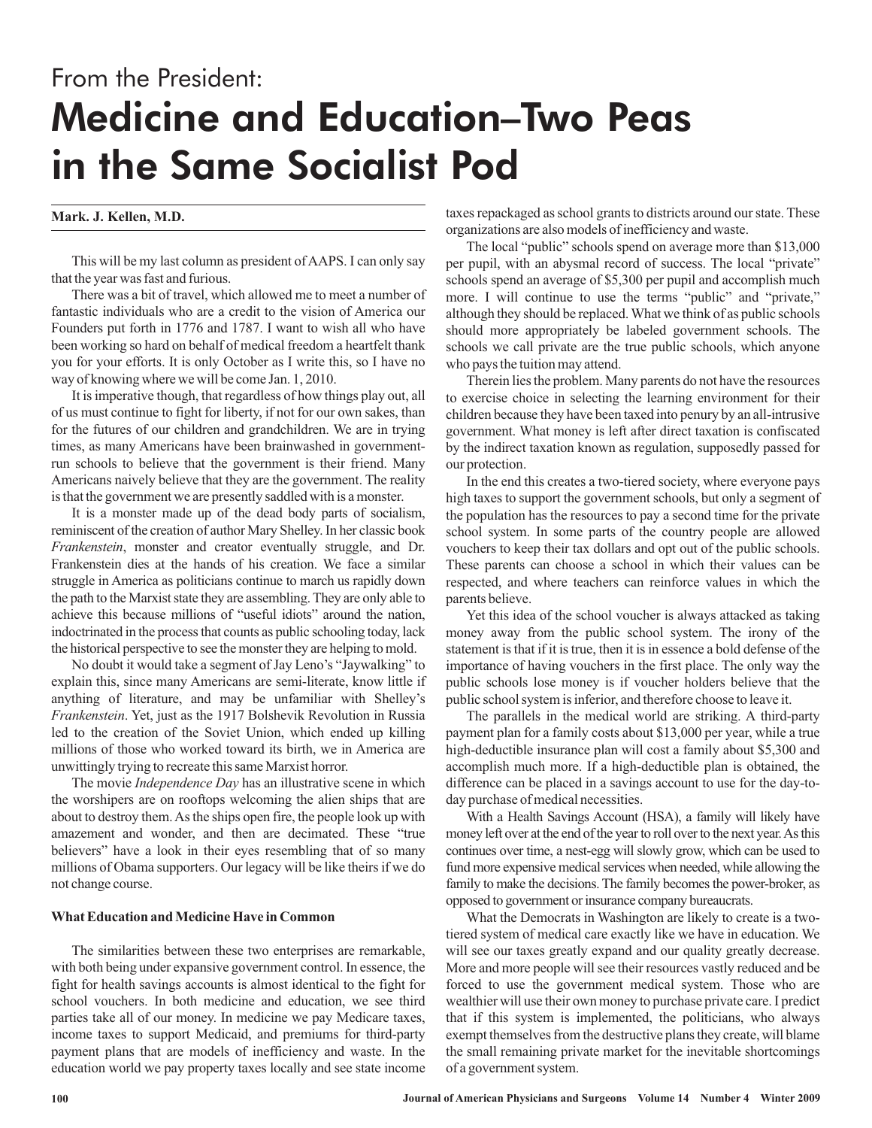# From the President: Medicine and Education–Two Peas in the Same Socialist Pod

## **Mark. J. Kellen, M.D.**

This will be my last column as president of AAPS. I can only say that the year was fast and furious.

There was a bit of travel, which allowed me to meet a number of fantastic individuals who are a credit to the vision of America our Founders put forth in 1776 and 1787. I want to wish all who have been working so hard on behalf of medical freedom a heartfelt thank you for your efforts. It is only October as I write this, so I have no way of knowing where we will be come Jan. 1, 2010.

It is imperative though, that regardless of how things play out, all of us must continue to fight for liberty, if not for our own sakes, than for the futures of our children and grandchildren. We are in trying times, as many Americans have been brainwashed in governmentrun schools to believe that the government is their friend. Many Americans naively believe that they are the government. The reality is that the government we are presently saddled with is a monster.

It is a monster made up of the dead body parts of socialism, reminiscent of the creation of author Mary Shelley. In her classic book , monster and creator eventually struggle, and Dr. *Frankenstein* Frankenstein dies at the hands of his creation. We face a similar struggle in America as politicians continue to march us rapidly down the path to the Marxist state they are assembling. They are only able to achieve this because millions of "useful idiots" around the nation, indoctrinated in the process that counts as public schooling today, lack the historical perspective to see the monster they are helping to mold.

No doubt it would take a segment of Jay Leno's "Jaywalking" to explain this, since many Americans are semi-literate, know little if anything of literature, and may be unfamiliar with Shelley's . Yet, just as the 1917 Bolshevik Revolution in Russia *Frankenstein* led to the creation of the Soviet Union, which ended up killing millions of those who worked toward its birth, we in America are unwittingly trying to recreate this same Marxist horror.

The movie *Independence Day* has an illustrative scene in which the worshipers are on rooftops welcoming the alien ships that are about to destroy them.As the ships open fire, the people look up with amazement and wonder, and then are decimated. These "true believers" have a look in their eyes resembling that of so many millions of Obama supporters. Our legacy will be like theirs if we do not change course.

#### **What Education and Medicine Have in Common**

The similarities between these two enterprises are remarkable, with both being under expansive government control. In essence, the fight for health savings accounts is almost identical to the fight for school vouchers. In both medicine and education, we see third parties take all of our money. In medicine we pay Medicare taxes, income taxes to support Medicaid, and premiums for third-party payment plans that are models of inefficiency and waste. In the education world we pay property taxes locally and see state income taxes repackaged as school grants to districts around our state. These organizations are also models of inefficiency and waste.

The local "public" schools spend on average more than \$13,000 per pupil, with an abysmal record of success. The local "private" schools spend an average of \$5,300 per pupil and accomplish much more. I will continue to use the terms "public" and "private," although they should be replaced. What we think of as public schools should more appropriately be labeled government schools. The schools we call private are the true public schools, which anyone who pays the tuition may attend.

Therein lies the problem. Many parents do not have the resources to exercise choice in selecting the learning environment for their children because they have been taxed into penury by an all-intrusive government. What money is left after direct taxation is confiscated by the indirect taxation known as regulation, supposedly passed for our protection.

In the end this creates a two-tiered society, where everyone pays high taxes to support the government schools, but only a segment of the population has the resources to pay a second time for the private school system. In some parts of the country people are allowed vouchers to keep their tax dollars and opt out of the public schools. These parents can choose a school in which their values can be respected, and where teachers can reinforce values in which the parents believe.

Yet this idea of the school voucher is always attacked as taking money away from the public school system. The irony of the statement is that if it is true, then it is in essence a bold defense of the importance of having vouchers in the first place. The only way the public schools lose money is if voucher holders believe that the public school system is inferior, and therefore choose to leave it.

The parallels in the medical world are striking. A third-party payment plan for a family costs about \$13,000 per year, while a true high-deductible insurance plan will cost a family about \$5,300 and accomplish much more. If a high-deductible plan is obtained, the difference can be placed in a savings account to use for the day-today purchase of medical necessities.

With a Health Savings Account (HSA), a family will likely have money left over at the end of the year to roll over to the next year.As this continues over time, a nest-egg will slowly grow, which can be used to fund more expensive medical services when needed, while allowing the family to make the decisions. The family becomes the power-broker, as opposed to government or insurance company bureaucrats.

What the Democrats in Washington are likely to create is a twotiered system of medical care exactly like we have in education. We will see our taxes greatly expand and our quality greatly decrease. More and more people will see their resources vastly reduced and be forced to use the government medical system. Those who are wealthier will use their own money to purchase private care. I predict that if this system is implemented, the politicians, who always exempt themselves from the destructive plans they create, will blame the small remaining private market for the inevitable shortcomings of a government system.